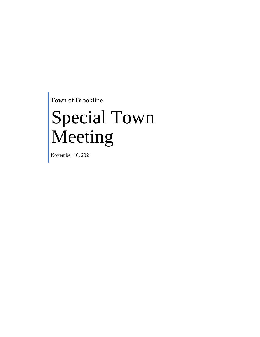Town of Brookline

# Special Town Meeting

November 16, 2021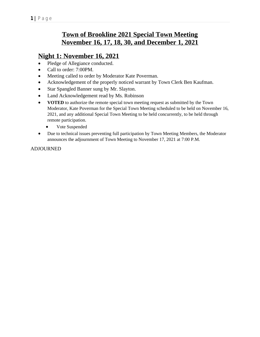# **Town of Brookline 2021 Special Town Meeting November 16, 17, 18, 30, and December 1, 2021**

# **Night 1: November 16, 2021**

- Pledge of Allegiance conducted.
- Call to order: 7:00PM.
- Meeting called to order by Moderator Kate Poverman.
- Acknowledgement of the properly noticed warrant by Town Clerk Ben Kaufman.
- Star Spangled Banner sung by Mr. Slayton.
- Land Acknowledgement read by Ms. Robinson
- **VOTED** to authorize the remote special town meeting request as submitted by the Town Moderator, Kate Poverman for the Special Town Meeting scheduled to be held on November 16, 2021, and any additional Special Town Meeting to be held concurrently, to be held through remote participation.
	- Vote Suspended
- Due to technical issues preventing full participation by Town Meeting Members, the Moderator announces the adjournment of Town Meeting to November 17, 2021 at 7:00 P.M.

### ADJOURNED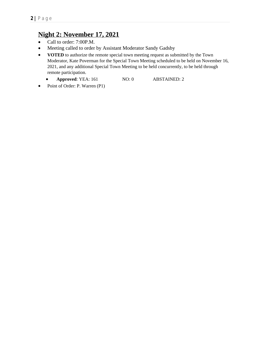# **Night 2: November 17, 2021**

- Call to order: 7:00P.M.
- Meeting called to order by Assistant Moderator Sandy Gadsby
- **•** VOTED to authorize the remote special town meeting request as submitted by the Town Moderator, Kate Poverman for the Special Town Meeting scheduled to be held on November 16, 2021, and any additional Special Town Meeting to be held concurrently, to be held through remote participation.
	- **• Approved**: YEA: 161 NO: 0 **ABSTAINED: 2**
- Point of Order: P. Warren (P1)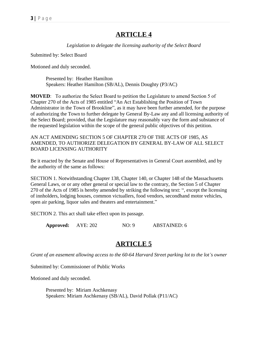## **ARTICLE 4**

*Legislation to delegate the licensing authority of the Select Board*

Submitted by: Select Board

Motioned and duly seconded.

Presented by: Heather Hamilton Speakers: Heather Hamilton (SB/AL), Dennis Doughty (P3/AC)

**MOVED**: To authorize the Select Board to petition the Legislature to amend Section 5 of Chapter 270 of the Acts of 1985 entitled "An Act Establishing the Position of Town Administrator in the Town of Brookline", as it may have been further amended, for the purpose of authorizing the Town to further delegate by General By-Law any and all licensing authority of the Select Board; provided, that the Legislature may reasonably vary the form and substance of the requested legislation within the scope of the general public objectives of this petition.

AN ACT AMENDING SECTION 5 OF CHAPTER 270 OF THE ACTS OF 1985, AS AMENDED, TO AUTHORIZE DELEGATION BY GENERAL BY-LAW OF ALL SELECT BOARD LICENSING AUTHORITY

Be it enacted by the Senate and House of Representatives in General Court assembled, and by the authority of the same as follows:

SECTION 1. Notwithstanding Chapter 138, Chapter 140, or Chapter 148 of the Massachusetts General Laws, or or any other general or special law to the contrary, the Section 5 of Chapter 270 of the Acts of 1985 is hereby amended by striking the following text: ", except the licensing of innholders, lodging houses, common victuallers, food vendors, secondhand motor vehicles, open air parking, liquor sales and theaters and entertainment."

SECTION 2. This act shall take effect upon its passage.

**Approved:** AYE: 202 NO: 9 ABSTAINED: 6

## **ARTICLE 5**

*Grant of an easement allowing access to the 60-64 Harvard Street parking lot to the lot's owner*

Submitted by: Commissioner of Public Works

Motioned and duly seconded.

Presented by: Miriam Aschkenasy Speakers: Miriam Aschkenasy (SB/AL), David Pollak (P11/AC)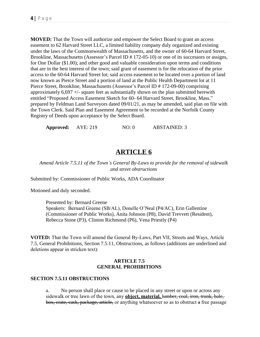**MOVED:** That the Town will authorize and empower the Select Board to grant an access easement to 62 Harvard Street LLC, a limited liability company duly organized and existing under the laws of the Commonwealth of Massachusetts, and the owner of 60-64 Harvard Street, Brookline, Massachusetts (Assessor's Parcel ID # 172-05-10) or one of its successors or assigns, for One Dollar (\$1.00); and other good and valuable consideration upon terms and conditions that are in the best interest of the town; said grant of easement is for the relocation of the prior access to the 60-64 Harvard Street lot; said access easement to be located over a portion of land now known as Pierce Street and a portion of land at the Public Health Department lot at 11 Pierce Street, Brookline, Massachusetts (Assessor's Parcel ID # 172-09-00) comprising approximately  $6,697 +$ /- square feet as substantially shown on the plan submitted herewith entitled "Proposed Access Easement Sketch for 60- 64 Harvard Street, Brookline, Mass." prepared by Feldman Land Surveyors dated 09/01/21, as may be amended, said plan on file with the Town Clerk. Said Plan and Easement Agreement to be recorded at the Norfolk County Registry of Deeds upon acceptance by the Select Board.

**Approved:** AYE: 219 NO: 0 ABSTAINED: 3

## **ARTICLE 6**

*Amend Article 7.5.11 of the Town's General By-Laws to provide for the removal of sidewalk and street obstructions*

Submitted by: Commissioner of Public Works, ADA Coordinator

Motioned and duly seconded.

Presented by: Bernard Greene Speakers: Bernard Greene (SB/AL), Donelle O'Neal (P4/AC), Erin Gallentine (Commissioner of Public Works), Anita Johnson (P8), David Trevvett (Resident), Rebecca Stone (P3), Clinton Richmond (P6), Vena Priestly (P4)

**VOTED:** That the Town will amend the General By-Laws, Part VII, Streets and Ways, Article 7.5, General Prohibitions, Section 7.5.11, Obstructions, as follows (additions are underlined and deletions appear in stricken text):

#### **ARTICLE 7.5 GENERAL PROHIBITIONS**

#### **SECTION 7.5.11 OBSTRUCTIONS**

a. No person shall place or cause to be placed in any street or upon or across any sidewalk or tree lawn of the town, any **object, material,** lumber, coal, iron, trunk, bale, box, crate, cask, package, article, or anything whatsoever so as to obstruct a free passage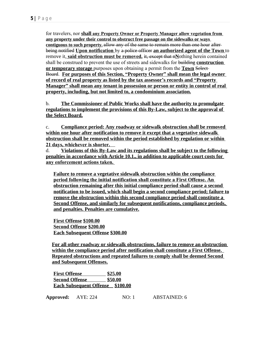for travelers, nor **shall any Property Owner or Property Manager allow vegetation from any property under their control to obstruct free passage on the sidewalks or ways contiguous to such property.** allow any of the same to remain more than one hour after being notified **Upon notification** by a police officer **an authorized agent of the Town** to remove it, **said obstruction must be removed.** it, except that n**N**othing herein contained shall be construed to prevent the use of streets and sidewalks for building **construction or temporary storage** purposes upon obtaining a permit from the **Town** Select Board. **For purposes of this Section, "Property Owner" shall mean the legal owner of record of real property as listed by the tax assessor's records and "Property Manager" shall mean any tenant in possession or person or entity in control of real property, including, but not limited to, a condominium association.**

b. **The Commissioner of Public Works shall have the authority to promulgate regulations to implement the provisions of this By-Law, subject to the approval of the Select Board.**

c. **Compliance period: Any roadway or sidewalk obstruction shall be removed within one hour after notification to remove it except that a vegetative sidewalk obstruction shall be removed within the period established by regulation or within 21 days, whichever is shorter.** 

d. **Violations of this By-Law and its regulations shall be subject to the following penalties in accordance with Article 10.1., in addition to applicable court costs for any enforcement actions taken.** 

**Failure to remove a vegetative sidewalk obstruction within the compliance period following the initial notification shall constitute a First Offense. An obstruction remaining after this initial compliance period shall cause a second notification to be issued, which shall begin a second compliance period; failure to remove the obstruction within this second compliance period shall constitute a Second Offense, and similarly for subsequent notifications, compliance periods, and penalties. Penalties are cumulative.**

**First Offense \$100.00 Second Offense \$200.00 Each Subsequent Offense \$300.00**

**For all other roadway or sidewalk obstructions, failure to remove an obstruction within the compliance period after notification shall constitute a First Offense. Repeated obstructions and repeated failures to comply shall be deemed Second and Subsequent Offenses.**

**First Offense                       \$25.00 Second Offense                  \$50.00 Each Subsequent Offense    \$100.00**

**Approved:** AYE: 224 NO: 1 ABSTAINED: 6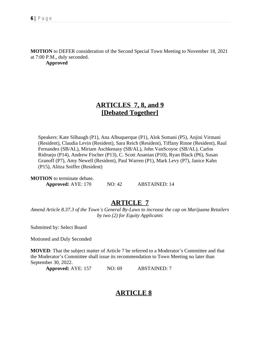**MOTION** to DEFER consideration of the Second Special Town Meeting to November 18, 2021 at 7:00 P.M., duly seconded.

**Approved**

# **ARTICLES 7, 8, and 9 [Debated Together]**

Speakers: Kate Silbaugh (P1), Ana Albuquerque (P1), Alok Somani (P5), Anjini Virmani (Resident), Claudia Levin (Resident), Sara Reich (Resident), Tiffany Rinne (Resident), Raul Fernandez (SB/AL), Miriam Aschkenasy (SB/AL), John VanScoyoc (SB/AL), Carlos Ridruejo (P14), Andrew Fischer (P13), C. Scott Ananian (P10), Ryan Black (P6), Susan Granoff (P7), Amy Newell (Resident), Paul Warren (P1), Mark Levy (P7), Janice Kahn (P15), Alitza Soiffer (Resident)

**MOTION** to terminate debate. **Approved:** AYE: 170 NO: 42 ABSTAINED: 14

## **ARTICLE 7**

*Amend Article 8.37.3 of the Town's General By-Laws to increase the cap on Marijuana Retailers by two (2) for Equity Applicants*

Submitted by: Select Board

Motioned and Duly Seconded

**MOVED**: That the subject matter of Article 7 be referred to a Moderator's Committee and that the Moderator's Committee shall issue its recommendation to Town Meeting no later than September 30, 2022.

**Approved:** AYE: 157 NO: 69 ABSTAINED: 7

# **ARTICLE 8**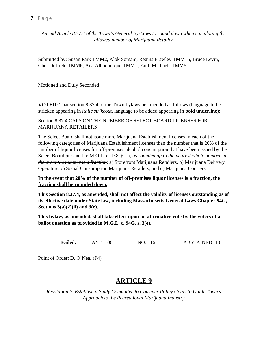*Amend Article 8.37.4 of the Town's General By-Laws to round down when calculating the allowed number of Marijuana Retailer*

Submitted by: Susan Park TMM2, Alok Somani, Regina Frawley TMM16, Bruce Levin, Cher Duffield TMM6, Ana Albuquerque TMM1, Faith Michaels TMM5

Motioned and Duly Seconded

**VOTED:** That section 8.37.4 of the Town bylaws be amended as follows (language to be stricken appearing in *italic strikeout*, language to be added appearing in **bold underline**):

Section 8.37.4 CAPS ON THE NUMBER OF SELECT BOARD LICENSES FOR MARIJUANA RETAILERS

The Select Board shall not issue more Marijuana Establishment licenses in each of the following categories of Marijuana Establishment licenses than the number that is 20% of the number of liquor licenses for off-premises alcohol consumption that have been issued by the Select Board pursuant to M.G.L. c. 138, § 15*, as rounded up to the nearest whole number in the event the number is a fraction*: a) Storefront Marijuana Retailers, b) Marijuana Delivery Operators, c) Social Consumption Marijuana Retailers, and d) Marijuana Couriers.

**In the event that 20% of the number of off-premises liquor licenses is a fraction, the fraction shall be rounded down.**

**This Section 8.37.4, as amended, shall not affect the validity of licenses outstanding as of its effective date under State law, including Massachusetts General Laws Chapter 94G, Sections 3(a)(2)(ii) and 3(e).** 

**This bylaw, as amended, shall take effect upon an affirmative vote by the voters of a ballot question as provided in M.G.L. c. 94G, s. 3(e).**

**Failed:** AYE: 106 NO: 116 ABSTAINED: 13

Point of Order: D. O'Neal (P4)

## **ARTICLE 9**

*Resolution to Establish a Study Committee to Consider Policy Goals to Guide Town's Approach to the Recreational Marijuana Industry*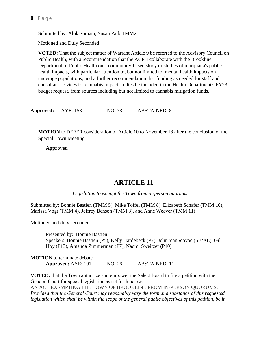Submitted by: Alok Somani, Susan Park TMM2

Motioned and Duly Seconded

**VOTED:** That the subject matter of Warrant Article 9 be referred to the Advisory Council on Public Health; with a recommendation that the ACPH collaborate with the Brookline Department of Public Health on a community-based study or studies of marijuana's public health impacts, with particular attention to, but not limited to, mental health impacts on underage populations; and a further recommendation that funding as needed for staff and consultant services for cannabis impact studies be included in the Health Department's FY23 budget request, from sources including but not limited to cannabis mitigation funds.

**Approved:** AYE: 153 NO: 73 ABSTAINED: 8

**MOTION** to DEFER consideration of Article 10 to November 18 after the conclusion of the Special Town Meeting.

**Approved**

## **ARTICLE 11**

*Legislation to exempt the Town from in-person quorums*

Submitted by: Bonnie Bastien (TMM 5), Mike Toffel (TMM 8). Elizabeth Schafer (TMM 10), Marissa Vogt (TMM 4), Jeffrey Benson (TMM 3), and Anne Weaver (TMM 11)

Motioned and duly seconded.

Presented by: Bonnie Bastien Speakers: Bonnie Bastien (P5), Kelly Hardebeck (P7), John VanScoyoc (SB/AL), Gil Hoy (P13), Amanda Zimmerman (P7), Naomi Sweitzer (P10)

**MOTION** to terminate debate **Approved:** AYE: 191 NO: 26 ABSTAINED: 11

**VOTED:** that the Town authorize and empower the Select Board to file a petition with the General Court for special legislation as set forth below:

AN ACT EXEMPTING THE TOWN OF BROOKLINE FROM IN-PERSON QUORUMS.

*Provided that the General Court may reasonably vary the form and substance of this requested*  legislation which shall be within the scope of the general public objectives of this petition, be it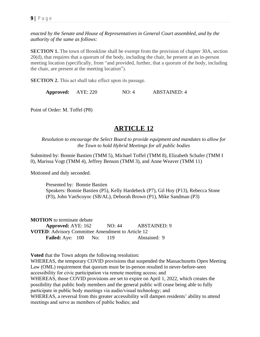*enacted by the Senate and House of Representatives in General Court assembled, and by the authority of the same as follows:*

**SECTION 1.** The town of Brookline shall be exempt from the provision of chapter 30A, section 20(d), that requires that a quorum of the body, including the chair, be present at an in-person meeting location (specifically, from "and provided, further, that a quorum of the body, including the chair, are present at the meeting location").

**SECTION 2.** This act shall take effect upon its passage.

**Approved:** AYE: 220 NO: 4 ABSTAINED: 4

Point of Order: M. Toffel (P8)

## **ARTICLE 12**

*Resolution to encourage the Select Board to provide equipment and mandates to allow for the Town to hold Hybrid Meetings for all public bodies*

Submitted by: Bonnie Bastien (TMM 5), Michael Toffel (TMM 8), Elizabeth Schafer (TMM I 0), Marissa Vogt (TMM 4), Jeffrey Benson (TMM 3), and Anne Weaver (TMM 11)

Motioned and duly seconded.

Presented by: Bonnie Bastien Speakers: Bonnie Bastien (P5), Kelly Hardebeck (P7), Gil Hoy (P13), Rebecca Stone (P3), John VanScoyoc (SB/AL), Deborah Brown (P1), Mike Sandman (P3)

**MOTION** to terminate debate **Approved:** AYE: 162 NO: 44 ABSTAINED: 9 **VOTED**: Advisory Committee Amendment to Article 12 **Failed:** Aye: 100 No: 119 Abstained: 9

**Voted** that the Town adopts the following resolution:

WHEREAS, the temporary COVID provisions that suspended the Massachusetts Open Meeting Law (OML) requirement that quorum must be in-person resulted in never-before-seen accessibility for civic participation via remote meeting access; and WHEREAS, those COVID provisions are set to expire on April 1, 2022, which creates the possibility that public body members and the general public will cease being able to fully participate in public body meetings via audio/visual technology; and WHEREAS, a reversal from this greater accessibility will dampen residents' ability to attend meetings and serve as members of public bodies; and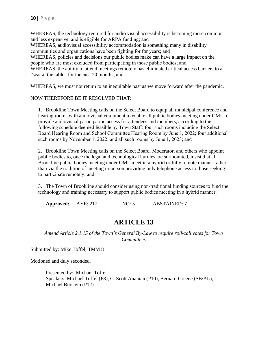WHEREAS, the technology required for audio visual accessibility is becoming more common and less expensive, and is eligible for ARPA funding; and

WHEREAS, audiovisual accessibility accommodation is something many in disability communities and organizations have been fighting for for years; and

WHEREAS, policies and decisions our public bodies make can have a large impact on the people who are most excluded from participating in those public bodies; and

WHEREAS, the ability to attend meetings remotely has eliminated critical access barriers to a "seat at the table" for the past 20 months; and

WHEREAS, we must not return to an inequitable past as we move forward after the pandemic.

NOW THEREFORE BE IT RESOLVED THAT:

1. Brookline Town Meeting calls on the Select Board to equip all municipal conference and hearing rooms with audiovisual equipment to enable all public bodies meeting under OML to provide audiovisual participation access for attendees and members, according to the following schedule deemed feasible by Town Staff: four such rooms including the Select Board Hearing Room and School Committee Hearing Room by June 1, 2022; four additional such rooms by November 1, 2022; and all such rooms by June 1, 2023; and

2. Brookline Town Meeting calls on the Select Board, Moderator, and others who appoint public bodies to, once the legal and technological hurdles are surmounted, insist that all Brookline public bodies meeting under OML meet in a hybrid or fully remote manner rather than via the tradition of meeting in-person providing only telephone access to those seeking to participate remotely; and

3. The Town of Brookline should consider using non-traditional funding sources to fund the technology and training necessary to support public bodies meeting in a hybrid manner.

**Approved:** AYE: 217 NO: 5 ABSTAINED: 7

## **ARTICLE 13**

*Amend Article 2.1.15 of the Town's General By-Law to require roll-call votes for Town Committees*

Submitted by: Mike Toffel, TMM 8

Motioned and duly seconded.

Presented by: Michael Toffel Speakers: Michael Toffel (P8), C. Scott Ananian (P10), Bernard Greene (SB/AL), Michael Burstein (P12)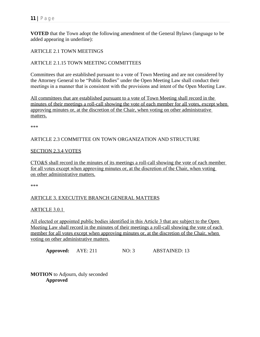**VOTED** that the Town adopt the following amendment of the General Bylaws (language to be added appearing in underline):

ARTICLE 2.1 TOWN MEETINGS

#### ARTICLE 2.1.15 TOWN MEETING COMMITTEES

Committees that are established pursuant to a vote of Town Meeting and are not considered by the Attorney General to be "Public Bodies" under the Open Meeting Law shall conduct their meetings in a manner that is consistent with the provisions and intent of the Open Meeting Law.

All committees that are established pursuant to a vote of Town Meeting shall record in the minutes of their meetings a roll-call showing the vote of each member for all votes, except when approving minutes or, at the discretion of the Chair, when voting on other administrative matters.

\*\*\*

#### ARTICLE 2.3 COMMITTEE ON TOWN ORGANIZATION AND STRUCTURE

#### SECTION 2.3.4 VOTES

CTO&S shall record in the minutes of its meetings a roll-call showing the vote of each member for all votes except when approving minutes or, at the discretion of the Chair, when voting on other administrative matters.

\*\*\*

### ARTICLE 3. EXECUTIVE BRANCH GENERAL MATTERS

#### ARTICLE 3.0.1

All elected or appointed public bodies identified in this Article 3 that are subject to the Open Meeting Law shall record in the minutes of their meetings a roll-call showing the vote of each member for all votes except when approving minutes or, at the discretion of the Chair, when voting on other administrative matters.

**Approved:** AYE: 211 NO: 3 ABSTAINED: 13

**MOTION** to Adjourn, duly seconded **Approved**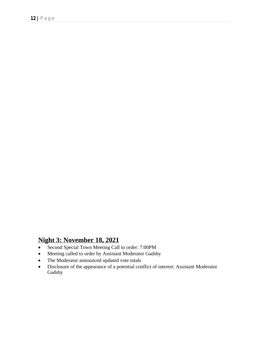# **Night 3: November 18, 2021**

- Second Special Town Meeting Call to order: 7:00PM
- Meeting called to order by Assistant Moderator Gadsby
- The Moderator announced updated vote totals
- Disclosure of the appearance of a potential conflict of interest: Assistant Moderator Gadsby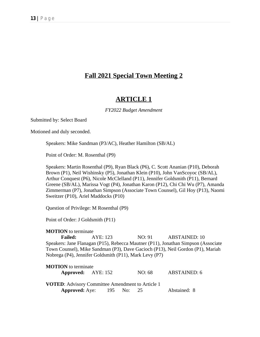## **Fall 2021 Special Town Meeting 2**

## **ARTICLE 1**

#### *FY2022 Budget Amendment*

Submitted by: Select Board

Motioned and duly seconded.

Speakers: Mike Sandman (P3/AC), Heather Hamilton (SB/AL)

Point of Order: M. Rosenthal (P9)

Speakers: Martin Rosenthal (P9), Ryan Black (P6), C. Scott Ananian (P10), Deborah Brown (P1), Neil Wishinsky (P5), Jonathan Klein (P10), John VanScoyoc (SB/AL), Arthur Conquest (P6), Nicole McClelland (P11), Jennifer Goldsmith (P11), Bernard Greene (SB/AL), Marissa Vogt (P4), Jonathan Karon (P12), Chi Chi Wu (P7), Amanda Zimmerman (P7), Jonathan Simpson (Associate Town Counsel), Gil Hoy (P13), Naomi Sweitzer (P10), Ariel Maddocks (P10)

Question of Privilege: M Rosenthal (P9)

Point of Order: J Goldsmith (P11)

**MOTION** to terminate

**Failed:** AYE: 123 NO: 91 ABSTAINED: 10 Speakers: Jane Flanagan (P15), Rebecca Mautner (P11), Jonathan Simpson (Associate Town Counsel), Mike Sandman (P3), Dave Gacioch (P13), Neil Gordon (P1), Mariah Nobrega (P4), Jennifer Goldsmith (P11), Mark Levy (P7)

| <b>MOTION</b> to terminate                              |        |              |
|---------------------------------------------------------|--------|--------------|
| <b>Approved:</b> AYE: 152                               | NO: 68 | ABSTAINED: 6 |
| <b>VOTED:</b> Advisory Committee Amendment to Article 1 |        |              |
| <b>Approved:</b> Aye: 195 No:                           | 25     | Abstained: 8 |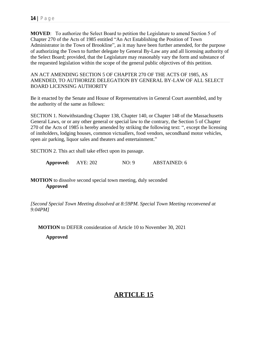**MOVED**: To authorize the Select Board to petition the Legislature to amend Section 5 of Chapter 270 of the Acts of 1985 entitled "An Act Establishing the Position of Town Administrator in the Town of Brookline", as it may have been further amended, for the purpose of authorizing the Town to further delegate by General By-Law any and all licensing authority of the Select Board; provided, that the Legislature may reasonably vary the form and substance of the requested legislation within the scope of the general public objectives of this petition.

AN ACT AMENDING SECTION 5 OF CHAPTER 270 OF THE ACTS OF 1985, AS AMENDED, TO AUTHORIZE DELEGATION BY GENERAL BY-LAW OF ALL SELECT BOARD LICENSING AUTHORITY

Be it enacted by the Senate and House of Representatives in General Court assembled, and by the authority of the same as follows:

SECTION 1. Notwithstanding Chapter 138, Chapter 140, or Chapter 148 of the Massachusetts General Laws, or or any other general or special law to the contrary, the Section 5 of Chapter 270 of the Acts of 1985 is hereby amended by striking the following text: ", except the licensing of innholders, lodging houses, common victuallers, food vendors, secondhand motor vehicles, open air parking, liquor sales and theaters and entertainment."

SECTION 2. This act shall take effect upon its passage.

**Approved:** AYE: 202 NO: 9 ABSTAINED: 6

**MOTION** to dissolve second special town meeting, duly seconded **Approved**

*[Second Special Town Meeting dissolved at 8:59PM. Special Town Meeting reconvened at 9:04PM]*

**MOTION** to DEFER consideration of Article 10 to November 30, 2021

**Approved**

# **ARTICLE 15**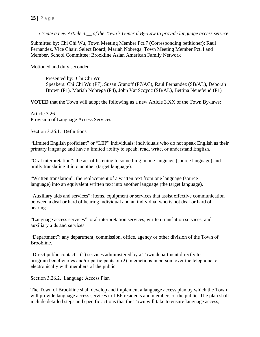*Create a new Article 3.\_\_ of the Town's General By-Law to provide language access service*

Submitted by: Chi Chi Wu, Town Meeting Member Pct.7 (Corresponding petitioner); Raul Fernandez, Vice Chair, Select Board; Mariah Nobrega, Town Meeting Member Pct.4 and Member, School Committee; Brookline Asian American Family Network

Motioned and duly seconded.

Presented by: Chi Chi Wu Speakers: Chi Chi Wu (P7), Susan Granoff (P7/AC), Raul Fernandez (SB/AL), Deborah Brown (P1), Mariah Nobrega (P4), John VanScoyoc (SB/AL), Bettina Neuefeind (P1)

**VOTED** that the Town will adopt the following as a new Article 3.XX of the Town By-laws:

Article 3.26 Provision of Language Access Services

Section 3.26.1. Definitions

"Limited English proficient" or "LEP" individuals: individuals who do not speak English as their primary language and have a limited ability to speak, read, write, or understand English.

"Oral interpretation": the act of listening to something in one language (source language) and orally translating it into another (target language).

"Written translation": the replacement of a written text from one language (source language) into an equivalent written text into another language (the target language).

"Auxiliary aids and services": items, equipment or services that assist effective communication between a deaf or hard of hearing individual and an individual who is not deaf or hard of hearing.

"Language access services": oral interpretation services, written translation services, and auxiliary aids and services.

"Department": any department, commission, office, agency or other division of the Town of Brookline.

"Direct public contact": (1) services administered by a Town department directly to program beneficiaries and/or participants or (2) interactions in person, over the telephone, or electronically with members of the public.

Section 3.26.2. Language Access Plan

The Town of Brookline shall develop and implement a language access plan by which the Town will provide language access services to LEP residents and members of the public. The plan shall include detailed steps and specific actions that the Town will take to ensure language access,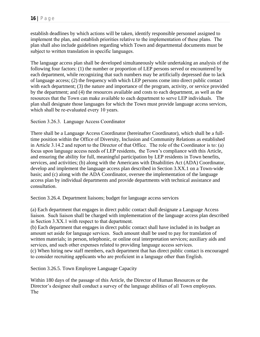establish deadlines by which actions will be taken, identify responsible personnel assigned to implement the plan, and establish priorities relative to the implementation of these plans. The plan shall also include guidelines regarding which Town and departmental documents must be subject to written translation in specific languages.

The language access plan shall be developed simultaneously while undertaking an analysis of the following four factors: (1) the number or proportion of LEP persons served or encountered by each department, while recognizing that such numbers may be artificially depressed due to lack of language access; (2) the frequency with which LEP persons come into direct public contact with each department; (3) the nature and importance of the program, activity, or service provided by the department; and (4) the resources available and costs to each department, as well as the resources that the Town can make available to each department to serve LEP individuals. The plan shall designate those languages for which the Town must provide language access services, which shall be re-evaluated every 10 years.

Section 3.26.3. Language Access Coordinator

There shall be a Language Access Coordinator (hereinafter Coordinator), which shall be a fulltime position within the Office of Diversity, Inclusion and Community Relations as established in Article 3.14.2 and report to the Director of that Office. The role of the Coordinator is to: (a) focus upon language access needs of LEP residents, the Town's compliance with this Article, and ensuring the ability for full, meaningful participation by LEP residents in Town benefits, services, and activities; (b) along with the Americans with Disabilities Act (ADA) Coordinator, develop and implement the language access plan described in Section 3.XX.1 on a Town-wide basis; and (c) along with the ADA Coordinator, oversee the implementation of the language access plan by individual departments and provide departments with technical assistance and consultation.

Section 3.26.4. Department liaisons; budget for language access services

(a) Each department that engages in direct public contact shall designate a Language Access liaison. Such liaison shall be charged with implementation of the language access plan described in Section 3.XX.1 with respect to that department.

(b) Each department that engages in direct public contact shall have included in its budget an amount set aside for language services. Such amount shall be used to pay for translation of written materials; in person, telephonic, or online oral interpretation services; auxiliary aids and services, and such other expenses related to providing language access services.

(c) When hiring new staff members, each department that has direct public contact is encouraged to consider recruiting applicants who are proficient in a language other than English.

Section 3.26.5. Town Employee Language Capacity

Within 180 days of the passage of this Article, the Director of Human Resources or the Director's designee shall conduct a survey of the language abilities of all Town employees. The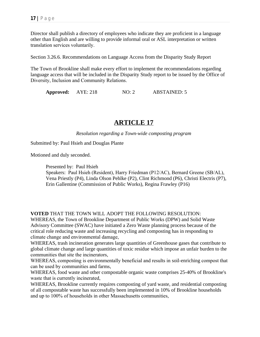Director shall publish a directory of employees who indicate they are proficient in a language other than English and are willing to provide informal oral or ASL interpretation or written translation services voluntarily.

Section 3.26.6. Recommendations on Language Access from the Disparity Study Report

The Town of Brookline shall make every effort to implement the recommendations regarding language access that will be included in the Disparity Study report to be issued by the Office of Diversity, Inclusion and Community Relations.

**Approved:** AYE: 218 NO: 2 ABSTAINED: 5

## **ARTICLE 17**

*Resolution regarding a Town-wide composting program*

Submitted by: Paul Hsieh and Douglas Plante

Motioned and duly seconded.

Presented by: Paul Hsieh

Speakers: Paul Hsieh (Resident), Harry Friedman (P12/AC), Bernard Greene (SB/AL), Vena Priestly (P4), Linda Olson Pehlke (P2), Clint Richmond (P6), Christi Electris (P7), Erin Gallentine (Commission of Public Works), Regina Frawley (P16)

**VOTED** THAT THE TOWN WILL ADOPT THE FOLLOWING RESOLUTION:

WHEREAS, the Town of Brookline Department of Public Works (DPW) and Solid Waste Advisory Committee (SWAC) have initiated a Zero Waste planning process because of the critical role reducing waste and increasing recycling and composting has in responding to climate change and environmental damage,

WHEREAS, trash incineration generates large quantities of Greenhouse gases that contribute to global climate change and large quantities of toxic residue which impose an unfair burden to the communities that site the incinerators,

WHEREAS, composting is environmentally beneficial and results in soil-enriching compost that can be used by communities and farms,

WHEREAS, food waste and other compostable organic waste comprises 25-40% of Brookline's waste that is currently incinerated,

WHEREAS, Brookline currently requires composting of yard waste, and residential composting of all compostable waste has successfully been implemented in 10% of Brookline households and up to 100% of households in other Massachusetts communities,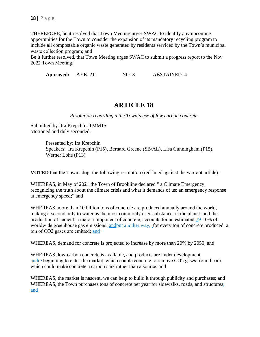THEREFORE, be it resolved that Town Meeting urges SWAC to identify any upcoming opportunities for the Town to consider the expansion of its mandatory recycling program to include all compostable organic waste generated by residents serviced by the Town's municipal waste collection program; and

Be it further resolved, that Town Meeting urges SWAC to submit a progress report to the Nov 2022 Town Meeting.

**Approved:** AYE: 211 NO: 3 ABSTAINED: 4

## **ARTICLE 18**

*Resolution regarding a the Town's use of low carbon concrete*

Submitted by: Ira Krepchin, TMM15 Motioned and duly seconded.

> Presented by: Ira Krepchin Speakers: Ira Krepchin (P15), Bernard Greene (SB/AL), Lisa Cunningham (P15), Werner Lohe (P13)

**VOTED** that the Town adopt the following resolution (red-lined against the warrant article):

WHEREAS, in May of 2021 the Town of Brookline declared " a Climate Emergency, recognizing the truth about the climate crisis and what it demands of us: an emergency response at emergency speed;" and

WHEREAS, more than 10 billion tons of concrete are produced annually around the world, making it second only to water as the most commonly used substance on the planet; and the production of cement, a major component of concrete, accounts for an estimated 79-10% of worldwide greenhouse gas emissions; and put another way, for every ton of concrete produced, a ton of CO2 gases are emitted; and

WHEREAS, demand for concrete is projected to increase by more than 20% by 2050; and

WHEREAS, low-carbon concrete is available, and products are under development andre beginning to enter the market, which enable concrete to remove CO2 gases from the air, which could make concrete a carbon sink rather than a source; and

WHEREAS, the market is nascent, we can help to build it through publicity and purchases; and WHEREAS, the Town purchases tons of concrete per year for sidewalks, roads, and structures; and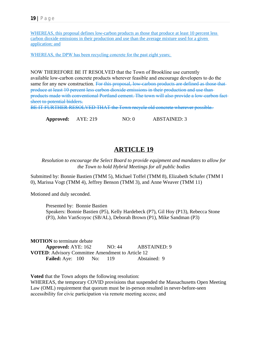WHEREAS, this proposal defines low-carbon products as those that produce at least 10 percent less carbon dioxide emissions in their production and use than the average mixture used for a given application; and

WHEREAS, the DPW has been recycling concrete for the past eight years;

NOW THEREFORE BE IT RESOLVED that the Town of Brookline use currently available low-carbon concrete products wherever feasible and encourage developers to do the same for any new construction. For this proposal, low-carbon products are defined as those that produce at least 10 percent less carbon dioxide emissions in their production and use than products made with conventional Portland cement. The town will also provide a low-carbon fact sheet to potential bidders.

BE IT FURTHER RESOLVED THAT the Town recycle old concrete wherever possible.

**Approved:** AYE: 219 NO: 0 ABSTAINED: 3

## **ARTICLE 19**

*Resolution to encourage the Select Board to provide equipment and mandates to allow for the Town to hold Hybrid Meetings for all public bodies*

Submitted by: Bonnie Bastien (TMM 5), Michael Toffel (TMM 8), Elizabeth Schafer (TMM I 0), Marissa Vogt (TMM 4), Jeffrey Benson (TMM 3), and Anne Weaver (TMM 11)

Motioned and duly seconded.

Presented by: Bonnie Bastien Speakers: Bonnie Bastien (P5), Kelly Hardebeck (P7), Gil Hoy (P13), Rebecca Stone (P3), John VanScoyoc (SB/AL), Deborah Brown (P1), Mike Sandman (P3)

**MOTION** to terminate debate **Approved:** AYE: 162 NO: 44 ABSTAINED: 9 **VOTED**: Advisory Committee Amendment to Article 12 **Failed:** Aye: 100 No: 119 Abstained: 9

**Voted** that the Town adopts the following resolution: WHEREAS, the temporary COVID provisions that suspended the Massachusetts Open Meeting Law (OML) requirement that quorum must be in-person resulted in never-before-seen accessibility for civic participation via remote meeting access; and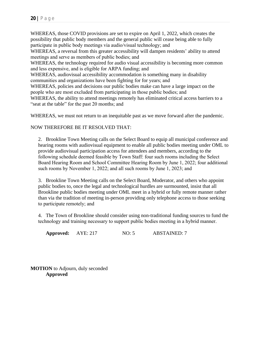WHEREAS, those COVID provisions are set to expire on April 1, 2022, which creates the possibility that public body members and the general public will cease being able to fully participate in public body meetings via audio/visual technology; and

WHEREAS, a reversal from this greater accessibility will dampen residents' ability to attend meetings and serve as members of public bodies; and

WHEREAS, the technology required for audio visual accessibility is becoming more common and less expensive, and is eligible for ARPA funding; and

WHEREAS, audiovisual accessibility accommodation is something many in disability communities and organizations have been fighting for for years; and

WHEREAS, policies and decisions our public bodies make can have a large impact on the people who are most excluded from participating in those public bodies; and

WHEREAS, the ability to attend meetings remotely has eliminated critical access barriers to a "seat at the table" for the past 20 months; and

WHEREAS, we must not return to an inequitable past as we move forward after the pandemic.

#### NOW THEREFORE BE IT RESOLVED THAT:

2. Brookline Town Meeting calls on the Select Board to equip all municipal conference and hearing rooms with audiovisual equipment to enable all public bodies meeting under OML to provide audiovisual participation access for attendees and members, according to the following schedule deemed feasible by Town Staff: four such rooms including the Select Board Hearing Room and School Committee Hearing Room by June 1, 2022; four additional such rooms by November 1, 2022; and all such rooms by June 1, 2023; and

3. Brookline Town Meeting calls on the Select Board, Moderator, and others who appoint public bodies to, once the legal and technological hurdles are surmounted, insist that all Brookline public bodies meeting under OML meet in a hybrid or fully remote manner rather than via the tradition of meeting in-person providing only telephone access to those seeking to participate remotely; and

4. The Town of Brookline should consider using non-traditional funding sources to fund the technology and training necessary to support public bodies meeting in a hybrid manner.

**Approved:** AYE: 217 NO: 5 ABSTAINED: 7

**MOTION** to Adjourn, duly seconded **Approved**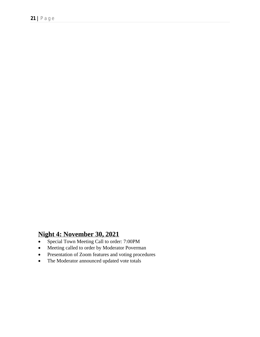# **Night 4: November 30, 2021**

- Special Town Meeting Call to order: 7:00PM
- Meeting called to order by Moderator Poverman
- Presentation of Zoom features and voting procedures
- The Moderator announced updated vote totals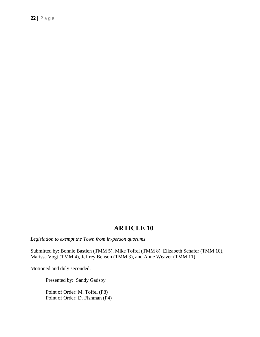## **ARTICLE 10**

*Legislation to exempt the Town from in-person quorums*

Submitted by: Bonnie Bastien (TMM 5), Mike Toffel (TMM 8). Elizabeth Schafer (TMM 10), Marissa Vogt (TMM 4), Jeffrey Benson (TMM 3), and Anne Weaver (TMM 11)

Motioned and duly seconded.

Presented by: Sandy Gadsby

Point of Order: M. Toffel (P8) Point of Order: D. Fishman (P4)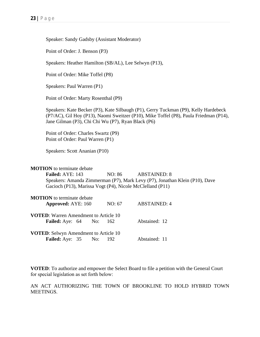|                                                                 | Point of Order: J. Benson (P3)                                          |     |                                                    |                                                                                                                                                                              |  |  |  |  |
|-----------------------------------------------------------------|-------------------------------------------------------------------------|-----|----------------------------------------------------|------------------------------------------------------------------------------------------------------------------------------------------------------------------------------|--|--|--|--|
|                                                                 | Speakers: Heather Hamilton (SB/AL), Lee Selwyn (P13),                   |     |                                                    |                                                                                                                                                                              |  |  |  |  |
|                                                                 | Point of Order: Mike Toffel (P8)                                        |     |                                                    |                                                                                                                                                                              |  |  |  |  |
| Speakers: Paul Warren (P1)                                      |                                                                         |     |                                                    |                                                                                                                                                                              |  |  |  |  |
| Point of Order: Marty Rosenthal (P9)                            |                                                                         |     |                                                    |                                                                                                                                                                              |  |  |  |  |
|                                                                 |                                                                         |     | Jane Gilman (P3), Chi Chi Wu (P7), Ryan Black (P6) | Speakers: Kate Becker (P3), Kate Silbaugh (P1), Gerry Tuckman (P9), Kelly Hardebeck<br>(P7/AC), Gil Hoy (P13), Naomi Sweitzer (P10), Mike Toffel (P8), Paula Friedman (P14), |  |  |  |  |
|                                                                 | Point of Order: Charles Swartz (P9)<br>Point of Order: Paul Warren (P1) |     |                                                    |                                                                                                                                                                              |  |  |  |  |
|                                                                 | Speakers: Scott Ananian (P10)                                           |     |                                                    |                                                                                                                                                                              |  |  |  |  |
| <b>MOTION</b> to terminate debate<br>Failed: AYE: 143           |                                                                         |     | NO: 86                                             | <b>ABSTAINED: 8</b><br>Speakers: Amanda Zimmerman (P7), Mark Levy (P7), Jonathan Klein (P10), Dave<br>Gacioch (P13), Marissa Vogt (P4), Nicole McClelland (P11)              |  |  |  |  |
| <b>MOTION</b> to terminate debate<br>Approved: AYE: 160         |                                                                         |     | NO: 67                                             | <b>ABSTAINED: 4</b>                                                                                                                                                          |  |  |  |  |
| <b>VOTED:</b> Warren Amendment to Article 10<br>Failed: Aye: 64 |                                                                         | No: | 162                                                | Abstained: 12                                                                                                                                                                |  |  |  |  |
| VOTED: Selwyn Amendment to Article 10<br>Failed: Aye: 35        |                                                                         | No: | 192                                                | Abstained: 11                                                                                                                                                                |  |  |  |  |

Speaker: Sandy Gadsby (Assistant Moderator)

**VOTED**: To authorize and empower the Select Board to file a petition with the General Court for special legislation as set forth below:

AN ACT AUTHORIZING THE TOWN OF BROOKLINE TO HOLD HYBRID TOWN MEETINGS.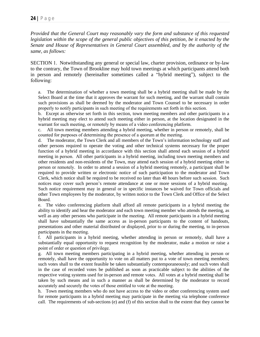*Provided that the General Court may reasonably vary the form and substance of this requested legislation within the scope of the general public objectives of this petition, be it enacted by the Senate and House of Representatives in General Court assembled, and by the authority of the same, as follows:*

SECTION 1. Notwithstanding any general or special law, charter provision, ordinance or by-law to the contrary, the Town of Brookline may hold town meetings at which participants attend both in person and remotely (hereinafter sometimes called a "hybrid meeting"), subject to the following:

a. The determination of whether a town meeting shall be a hybrid meeting shall be made by the Select Board at the time that it approves the warrant for such meeting, and the warrant shall contain such provisions as shall be deemed by the moderator and Town Counsel to be necessary in order properly to notify participants in such meeting of the requirements set forth in this section.

b. Except as otherwise set forth in this section, town meeting members and other participants in a hybrid meeting may elect to attend such meeting either in person, at the location designated in the warrant for such meeting, or remotely by means of a video conferencing platform.

c. All town meeting members attending a hybrid meeting, whether in person or remotely, shall be counted for purposes of determining the presence of a quorum at the meeting.

d. The moderator, the Town Clerk and all members of the Town's information technology staff and other persons required to operate the voting and other technical systems necessary for the proper function of a hybrid meeting in accordance with this section shall attend each session of a hybrid meeting in person. All other participants in a hybrid meeting, including town meeting members and other residents and non-residents of the Town, may attend each session of a hybrid meeting either in person or remotely. In order to attend a session of a hybrid meeting remotely, a participant shall be required to provide written or electronic notice of such participation to the moderator and Town Clerk, which notice shall be required to be received no later than 48 hours before such session. Such notices may cover such person's remote attendance at one or more sessions of a hybrid meeting. Such notice requirement may in general or in specific instances be waived for Town officials and other Town employees by the moderator, by written notice to the Town Clerk and Office of the Select Board.

e. The video conferencing platform shall afford all remote participants in a hybrid meeting the ability to identify and hear the moderator and each town meeting member who attends the meeting, as well as any other persons who participate in the meeting. All remote participants in a hybrid meeting shall have substantially the same access as in-person participants to the content of handouts, presentations and other material distributed or displayed, prior to or during the meeting, to in-person participants in the meeting.

f. All participants in a hybrid meeting, whether attending in person or remotely, shall have a substantially equal opportunity to request recognition by the moderator, make a motion or raise a point of order or question of privilege.

g. All town meeting members participating in a hybrid meeting, whether attending in person or remotely, shall have the opportunity to vote on all matters put to a vote of town meeting members; such votes shall to the extent feasible be taken substantially contemporaneously; and such votes shall in the case of recorded votes be published as soon as practicable subject to the abilities of the respective voting systems used for in-person and remote votes. All votes at a hybrid meeting shall be taken by such means and in such a manner as shall be determined by the moderator to record accurately and securely the votes of those entitled to vote at the meeting.

h. Town meeting members who do not have access to the video or other conferencing system used for remote participants in a hybrid meeting may participate in the meeting via telephone conference call. The requirements of sub-sections (e) and (f) of this section shall to the extent that they cannot be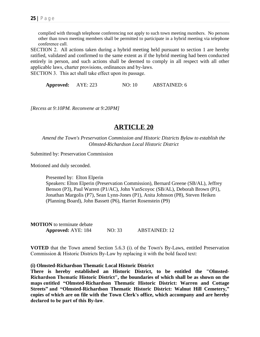complied with through telephone conferencing not apply to such town meeting members. No persons other than town meeting members shall be permitted to participate in a hybrid meeting via telephone conference call.

SECTION 2. All actions taken during a hybrid meeting held pursuant to section 1 are hereby ratified, validated and confirmed to the same extent as if the hybrid meeting had been conducted entirely in person, and such actions shall be deemed to comply in all respect with all other applicable laws, charter provisions, ordinances and by-laws.

SECTION 3. This act shall take effect upon its passage.

| <b>Approved:</b> | AYE: 223 | NO: 10 | <b>ABSTAINED: 6</b> |
|------------------|----------|--------|---------------------|
|------------------|----------|--------|---------------------|

*[Recess at 9:10PM. Reconvene at 9:20PM]*

## **ARTICLE 20**

*Amend the Town's Preservation Commission and Historic Districts Bylaw to establish the Olmsted-Richardson Local Historic District*

Submitted by: Preservation Commission

Motioned and duly seconded.

Presented by: Elton Elperin Speakers: Elton Elperin (Preservation Commission), Bernard Greene (SB/AL), Jeffrey Benson (P3), Paul Warren (P1/AC), John VanScoyoc (SB/AL), Deborah Brown (P1), Jonathan Margolis (P7), Sean Lynn-Jones (P1), Anita Johnson (P8), Steven Heiken (Planning Board), John Bassett (P6), Harriet Rosenstein (P9)

**MOTION** to terminate debate **Approved:** AYE: 184 NO: 33 ABSTAINED: 12

**VOTED** that the Town amend Section 5.6.3 (i). of the Town's By-Laws, entitled Preservation Commission & Historic Districts By-Law by replacing it with the bold faced text:

#### **(i) Olmsted-Richardson Thematic Local Historic District**

**There is hereby established an Historic District, to be entitled the "Olmsted-Richardson Thematic Historic District", the boundaries of which shall be as shown on the maps entitled "Olmsted-Richardson Thematic Historic District: Warren and Cottage Streets" and "Olmsted-Richardson Thematic Historic District: Walnut Hill Cemetery," copies of which are on file with the Town Clerk's office, which accompany and are hereby declared to be part of this By-law**.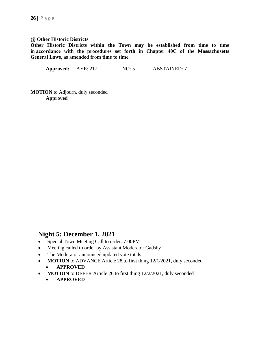#### **(j) Other Historic Districts**

**Other Historic Districts within the Town may be established from time to time in accordance with the procedures set forth in Chapter 40C of the Massachusetts General Laws, as amended from time to time.**

**Approved:** AYE: 217 NO: 5 ABSTAINED: 7

**MOTION** to Adjourn, duly seconded **Approved**

## **Night 5: December 1, 2021**

- Special Town Meeting Call to order: 7:00PM
- Meeting called to order by Assistant Moderator Gadsby
- The Moderator announced updated vote totals
- **MOTION** to ADVANCE Article 28 to first thing 12/1/2021, duly seconded **APPROVED**
- **MOTION** to DEFER Article 26 to first thing 12/2/2021, duly seconded
	- **APPROVED**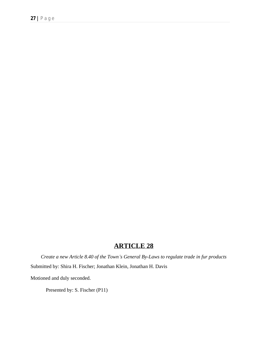# **ARTICLE 28**

*Create a new Article 8.40 of the Town's General By-Laws to regulate trade in fur products* Submitted by: Shira H. Fischer; Jonathan Klein, Jonathan H. Davis

Motioned and duly seconded.

Presented by: S. Fischer (P11)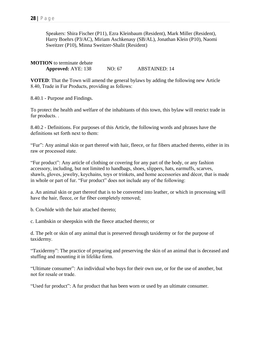Speakers: Shira Fischer (P11), Ezra Kleinbaum (Resident), Mark Miller (Resident), Harry Boehrs (P3/AC), Miriam Aschkenasy (SB/AL), Jonathan Klein (P10), Naomi Sweitzer (P10), Minna Sweitzer-Shalit (Resident)

**MOTION** to terminate debate **Approved:** AYE: 138 NO: 67 ABSTAINED: 14

**VOTED**: That the Town will amend the general bylaws by adding the following new Article 8.40, Trade in Fur Products, providing as follows:

8.40.1 - Purpose and Findings.

To protect the health and welfare of the inhabitants of this town, this bylaw will restrict trade in fur products. .

8.40.2 - Definitions. For purposes of this Article, the following words and phrases have the definitions set forth next to them:

"Fur": Any animal skin or part thereof with hair, fleece, or fur fibers attached thereto, either in its raw or processed state.

"Fur product": Any article of clothing or covering for any part of the body, or any fashion accessory, including, but not limited to handbags, shoes, slippers, hats, earmuffs, scarves, shawls, gloves, jewelry, keychains, toys or trinkets, and home accessories and décor, that is made in whole or part of fur. "Fur product" does not include any of the following:

a. An animal skin or part thereof that is to be converted into leather, or which in processing will have the hair, fleece, or fur fiber completely removed;

b. Cowhide with the hair attached thereto;

c. Lambskin or sheepskin with the fleece attached thereto; or

d. The pelt or skin of any animal that is preserved through taxidermy or for the purpose of taxidermy.

"Taxidermy": The practice of preparing and preserving the skin of an animal that is deceased and stuffing and mounting it in lifelike form.

"Ultimate consumer": An individual who buys for their own use, or for the use of another, but not for resale or trade.

"Used fur product": A fur product that has been worn or used by an ultimate consumer.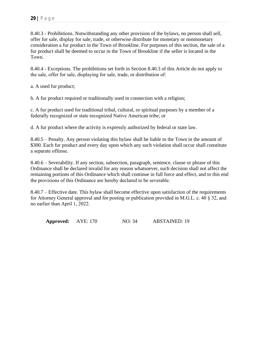8.40.3 - Prohibitions. Notwithstanding any other provision of the bylaws, no person shall sell, offer for sale, display for sale, trade, or otherwise distribute for monetary or nonmonetary consideration a fur product in the Town of Brookline. For purposes of this section, the sale of a fur product shall be deemed to occur in the Town of Brookline if the seller is located in the Town.

8.40.4 - Exceptions. The prohibitions set forth in Section 8.40.3 of this Article do not apply to the sale, offer for sale, displaying for sale, trade, or distribution of:

a. A used fur product;

b. A fur product required or traditionally used in connection with a religion;

c. A fur product used for traditional tribal, cultural, or spiritual purposes by a member of a federally recognized or state recognized Native American tribe; or

d. A fur product where the activity is expressly authorized by federal or state law.

8.40.5 – Penalty. Any person violating this bylaw shall be liable to the Town in the amount of \$300. Each fur product and every day upon which any such violation shall occur shall constitute a separate offense.

8.40.6 – Severability. If any section, subsection, paragraph, sentence, clause or phrase of this Ordinance shall be declared invalid for any reason whatsoever, such decision shall not affect the remaining portions of this Ordinance which shall continue in full force and effect, and to this end the provisions of this Ordinance are hereby declared to be severable.

8.40.7 – Effective date. This bylaw shall become effective upon satisfaction of the requirements for Attorney General approval and for posting or publication provided in M.G.L. c. 40 § 32, and no earlier than April 1, 2022.

**Approved:** AYE: 170 NO: 34 ABSTAINED: 19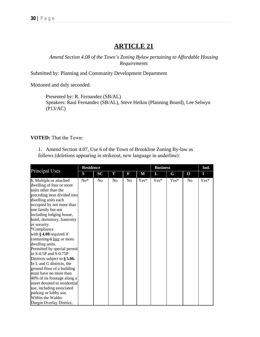## **ARTICLE 21**

*Amend Section 4.08 of the Town's Zoning Bylaw pertaining to Affordable Housing Requirements*

Submitted by: Planning and Community Development Department

Motioned and duly seconded.

Presented by: R. Fernandez (SB/AL) Speakers: Raul Fernandez (SB/AL), Steve Heikin (Planning Board), Lee Selwyn (P13/AC)

#### **VOTED:** That the Town:

1. Amend Section 4.07, Use 6 of the Town of Brookline Zoning By-law as follows (deletions appearing in strikeout, new language in underline):

|                                 | <b>Residence</b> |                |                |    |        | <b>Business</b> |        |                | Ind. |
|---------------------------------|------------------|----------------|----------------|----|--------|-----------------|--------|----------------|------|
| Principal Uses                  | S                | SC             | T              | F  | M      | L               | G      | $\mathbf 0$    | Ι    |
| 6. Multiple or attached         | $No*$            | N <sub>0</sub> | N <sub>0</sub> | No | $Yes*$ | $Yes*$          | $Yes*$ | N <sub>0</sub> | Yes* |
| dwelling of four or more        |                  |                |                |    |        |                 |        |                |      |
| units other than the            |                  |                |                |    |        |                 |        |                |      |
| preceding item divided into     |                  |                |                |    |        |                 |        |                |      |
| dwelling units each             |                  |                |                |    |        |                 |        |                |      |
| occupied by not more than       |                  |                |                |    |        |                 |        |                |      |
| one family but not              |                  |                |                |    |        |                 |        |                |      |
| including lodging house,        |                  |                |                |    |        |                 |        |                |      |
| hotel, dormitory, fraternity    |                  |                |                |    |        |                 |        |                |      |
| or sorority.                    |                  |                |                |    |        |                 |        |                |      |
| *Compliance                     |                  |                |                |    |        |                 |        |                |      |
| with $\S$ 4.08 required if      |                  |                |                |    |        |                 |        |                |      |
| containing 6 four or more       |                  |                |                |    |        |                 |        |                |      |
| dwelling units.                 |                  |                |                |    |        |                 |        |                |      |
| Permitted by special permit     |                  |                |                |    |        |                 |        |                |      |
| in $S$ -0.5P and $S$ -0.75P     |                  |                |                |    |        |                 |        |                |      |
| Districts subject to $\S$ 5.06. |                  |                |                |    |        |                 |        |                |      |
| In L and G districts, the       |                  |                |                |    |        |                 |        |                |      |
| ground floor of a building      |                  |                |                |    |        |                 |        |                |      |
| must have no more than          |                  |                |                |    |        |                 |        |                |      |
| 40% of its frontage along a     |                  |                |                |    |        |                 |        |                |      |
| street devoted to residential   |                  |                |                |    |        |                 |        |                |      |
| use, including associated       |                  |                |                |    |        |                 |        |                |      |
| parking or lobby use.           |                  |                |                |    |        |                 |        |                |      |
| Within the Waldo-               |                  |                |                |    |        |                 |        |                |      |
| Durgin Overlay District,        |                  |                |                |    |        |                 |        |                |      |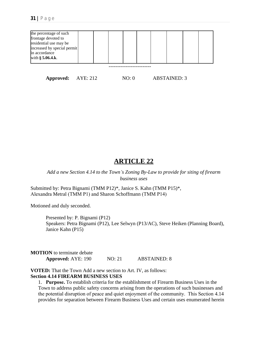

**Approved:** AYE: 212 NO: 0 ABSTAINED: 3

## **ARTICLE 22**

*Add a new Section 4.14 to the Town's Zoning By-Law to provide for siting of firearm business uses*

Submitted by: Petra Bignami (TMM P12)\*, Janice S. Kahn (TMM P15)\*, Alexandra Metral (TMM P1) and Sharon Schoffmann (TMM P14)

Motioned and duly seconded.

Presented by: P. Bignami (P12) Speakers: Petra Bignami (P12), Lee Selwyn (P13/AC), Steve Heiken (Planning Board), Janice Kahn (P15)

**MOTION** to terminate debate **Approved:** AYE: 190 NO: 21 ABSTAINED: 8

**VOTED:** That the Town Add a new section to Art. IV, as follows: **Section 4.14 FIREARM BUSINESS USES**

1. **Purpose.** To establish criteria for the establishment of Firearm Business Uses in the Town to address public safety concerns arising from the operations of such businesses and the potential disruption of peace and quiet enjoyment of the community. This Section 4.14 provides for separation between Firearm Business Uses and certain uses enumerated herein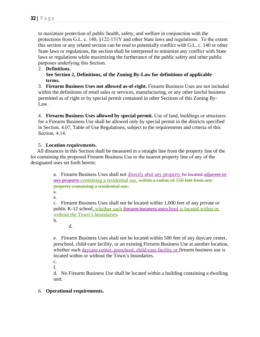to maximize protection of public health, safety, and welfare in conjunction with the protections from G.L. c. 140, §122-131Y and other State laws and regulations. To the extent this section or any related section can be read to potentially conflict with G.L. c. 140 or other State laws or regulations, the section shall be interpreted to minimize any conflict with State laws or regulations while maximizing the furtherance of the public safety and other public purposes underlying this Section.

#### 2. **Definitions.**

**See Section 2, Definitions, of the Zoning By-Law for definitions of applicable terms.** 

3. **Firearm Business Uses not allowed as-of-right.** Firearm Business Uses are not included within the definitions of retail sales or services, manufacturing, or any other lawful business permitted as of right or by special permit contained in other Sections of this Zoning By-Law.

4. **Firearm Business Uses allowed by special permit.** Use of land, buildings or structures for a Firearm Business Use shall be allowed only by special permit in the districts specified in Section. 4.07, Table of Use Regulations, subject to the requirements and criteria of this Section. 4.14.

#### 5. **Location requirements.**

 All distances in this Section shall be measured in a straight line from the property line of the lot containing the proposed Firearm Business Use to the nearest property line of any of the designated uses set forth herein:

> a. Firearm Business Uses shall not directly abut any property be located adjacent to any property containing a residential use. within a radius of 150 feet from any property containing a residential use.

a.

a.

c. Firearm Business Uses shall not be located within 1,000 feet of any private or public K-12 school, whether such firearm business useschool is located within or without the Town's boundaries.

b.

d.

e. Firearm Business Uses shall not be located within 500 feet of any daycare center, preschool, child-care facility, or an existing Firearm Business Use at another location, whether such daycare center, preschool, child-care facility or firearm business use is located within or without the Town's boundaries.

- c.
- f.

d. No Firearm Business Use shall be located within a building containing a dwelling unit.

#### 6. **Operational requirements.**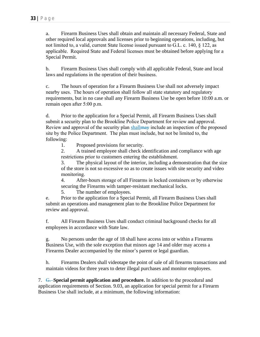a. Firearm Business Uses shall obtain and maintain all necessary Federal, State and other required local approvals and licenses prior to beginning operations, including, but not limited to, a valid, current State license issued pursuant to G.L. c. 140, § 122, as applicable. Required State and Federal licenses must be obtained before applying for a Special Permit.

b. Firearm Business Uses shall comply with all applicable Federal, State and local laws and regulations in the operation of their business.

c. The hours of operation for a Firearm Business Use shall not adversely impact nearby uses. The hours of operation shall follow all state statutory and regulatory requirements, but in no case shall any Firearm Business Use be open before 10:00 a.m. or remain open after 5:00 p.m.

d. Prior to the application for a Special Permit, all Firearm Business Uses shall submit a security plan to the Brookline Police Department for review and approval. Review and approval of the security plan shall may include an inspection of the proposed site by the Police Department. The plan must include, but not be limited to, the following:

1. Proposed provisions for security.

2. A trained employee shall check identification and compliance with age restrictions prior to customers entering the establishment.

3. The physical layout of the interior, including a demonstration that the size of the store is not so excessive so as to create issues with site security and video monitoring.

4. After-hours storage of all Firearms in locked containers or by otherwise securing the Firearms with tamper-resistant mechanical locks.

5. The number of employees.

e. Prior to the application for a Special Permit, all Firearm Business Uses shall submit an operations and management plan to the Brookline Police Department for review and approval.

f. All Firearm Business Uses shall conduct criminal background checks for all employees in accordance with State law.

g. No persons under the age of 18 shall have access into or within a Firearms Business Use, with the sole exception that minors age 14 and older may access a Firearms Dealer accompanied by the minor's parent or legal guardian.

h. Firearms Dealers shall videotape the point of sale of all firearms transactions and maintain videos for three years to deter illegal purchases and monitor employees.

7. G. **Special permit application and procedure.** In addition to the procedural and application requirements of Section. 9.03, an application for special permit for a Firearm Business Use shall include, at a minimum, the following information: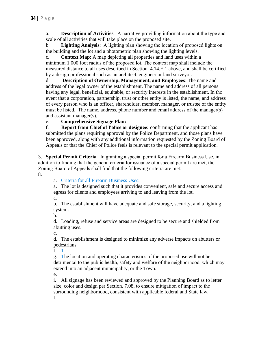a. **Description of Activities**: A narrative providing information about the type and scale of all activities that will take place on the proposed site.

b. **Lighting Analysis**: A lighting plan showing the location of proposed lights on the building and the lot and a photometric plan showing the lighting levels.

c. **Context Map**: A map depicting all properties and land uses within a minimum 1,000 foot radius of the proposed lot. The context map shall include the measured distance to all uses described in Section. 4.14.E.1 above, and shall be certified by a design professional such as an architect, engineer or land surveyor.

d. **Description of Ownership, Management, and Employees**: The name and address of the legal owner of the establishment. The name and address of all persons having any legal, beneficial, equitable, or security interests in the establishment. In the event that a corporation, partnership, trust or other entity is listed, the name, and address of every person who is an officer, shareholder, member, manager, or trustee of the entity must be listed. The name, address, phone number and email address of the manager(s) and assistant manager(s).

### e. **Comprehensive Signage Plan:**

f. **Report from Chief of Police or designee:** confirming that the applicant has submitted the plans requiring approval by the Police Department, and those plans have been approved, along with any additional information requested by the Zoning Board of Appeals or that the Chief of Police feels is relevant to the special permit application.

3. **Special Permit Criteria.** In granting a special permit for a Firearm Business Use, in addition to finding that the general criteria for issuance of a special permit are met, the Zoning Board of Appeals shall find that the following criteria are met:

8.

a. Criteria for all Firearm Business Uses:

a. The lot is designed such that it provides convenient, safe and secure access and egress for clients and employees arriving to and leaving from the lot.

a.

b. The establishment will have adequate and safe storage, security, and a lighting system.

b.

d. Loading, refuse and service areas are designed to be secure and shielded from abutting uses.

c.

d. The establishment is designed to minimize any adverse impacts on abutters or pedestrians.

f. T

g. The location and operating characteristics of the proposed use will not be detrimental to the public health, safety and welfare of the neighborhood, which may extend into an adjacent municipality, or the Town*.*

e.

i. All signage has been reviewed and approved by the Planning Board as to letter size, color and design per Section. 7.08, to ensure mitigation of impact to the surrounding neighborhood, consistent with applicable federal and State law. f.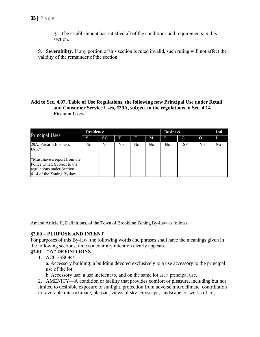g. The establishment has satisfied all of the conditions and requirements in this section.

9. **Severability.** If any portion of this section is ruled invalid, such ruling will not affect the validity of the remainder of the section.

#### **Add to Sec. 4.07, Table of Use Regulations, the following new Principal Use under Retail and Consumer Service Uses, #29A, subject to the regulations in Sec. 4.14 Firearm Uses.**

|                                                                                                                         | <b>Residence</b> |           |    |    |    | <b>Business</b> |           |          | Ind. |
|-------------------------------------------------------------------------------------------------------------------------|------------------|-----------|----|----|----|-----------------|-----------|----------|------|
| <b>Principal Uses</b>                                                                                                   | S                | <b>SC</b> | Т  | F  | М  | L               | G         | $\Omega$ |      |
| 29A. Firearm Business<br>$Uses*$                                                                                        | No               | No        | No | No | No | No              | <b>SP</b> | No       | No   |
| *Must have a report from the<br>Police Chief. Subject to the<br>regulations under Section<br>4.14 of the Zoning By-law. |                  |           |    |    |    |                 |           |          |      |

Amend Article II, Definitions, of the Town of Brookline Zoning By-Law as follows:

#### **§2.00 – PURPOSE AND INTENT**

For purposes of this By-law, the following words and phrases shall have the meanings given in the following sections, unless a contrary intention clearly appears.

## **§2.01 – "A" DEFINITIONS**

1. ACCESSORY

a. Accessory building: a building devoted exclusively to a use accessory to the principal use of the lot.

b. Accessory use: a use incident to, and on the same lot as, a principal use.

2. AMENITY—A condition or facility that provides comfort or pleasure, including but not limited to desirable exposure to sunlight, protection from adverse microclimate, contribution to favorable microclimate, pleasant views of sky, cityscape, landscape, or works of art,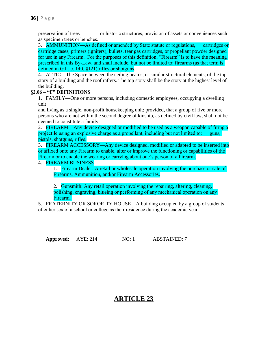preservation of trees or historic structures, provision of assets or conveniences such as specimen trees or benches.

3. AMMUNITION—As defined or amended by State statute or regulations, cartridges or cartridge cases, primers (igniters), bullets, tear gas cartridges, or propellant powder designed for use in any Firearm. For the purposes of this definition, "Firearm" is to have the meaning prescribed in this By-Law, and shall include, but not be limited to: firearms (as that term is defined in G.L. c. 140, §121), rifles or shotguns.

4. ATTIC—The Space between the ceiling beams, or similar structural elements, of the top story of a building and the roof rafters. The top story shall be the story at the highest level of the building.

#### **§2.06 – "F" DEFINITIONS**

1. FAMILY—One or more persons, including domestic employees, occupying a dwelling unit

and living as a single, non-profit housekeeping unit; provided, that a group of five or more persons who are not within the second degree of kinship, as defined by civil law, shall not be deemed to constitute a family.

2. FIREARM—Any device designed or modified to be used as a weapon capable of firing a projectile using an explosive charge as a propellant, including but not limited to: guns, pistols, shotguns, rifles.

3. FIREARM ACCESSORY—Any device designed, modified or adapted to be inserted into or affixed onto any Firearm to enable, alter or improve the functioning or capabilities of the Firearm or to enable the wearing or carrying about one's person of a Firearm.

#### 4. FIREARM BUSINESS

1. Firearm Dealer: A retail or wholesale operation involving the purchase or sale of Firearms, Ammunition, and/or Firearm Accessories.

2. Gunsmith: Any retail operation involving the repairing, altering, cleaning, polishing, engraving, blueing or performing of any mechanical operation on any Firearm.

5. FRATERNITY OR SORORITY HOUSE—A building occupied by a group of students of either sex of a school or college as their residence during the academic year.

**Approved:** AYE: 214 NO: 1 ABSTAINED: 7

# **ARTICLE 23**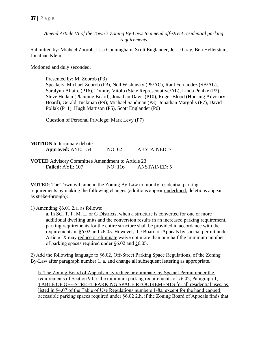*Amend Article VI of the Town's Zoning By-Laws to amend off-street residential parking requirements*

Submitted by: Michael Zoorob, Lisa Cunningham, Scott Englander, Jesse Gray, Ben Hellerstein, Jonathan Klein

Motioned and duly seconded.

Presented by: M. Zoorob (P3) Speakers: Michael Zoorob (P3), Neil Wishinsky (P5/AC), Raul Fernandez (SB/AL), Saralynn Allaire (P16), Tommy Vitolo (State Representative/AL), Linda Pehlke (P2), Steve Heiken (Planning Board), Jonathan Davis (P10), Roger Blood (Housing Advisory Board), Gerald Tuckman (P9), Michael Sandman (P3), Jonathan Margolis (P7), David Pollak (P11), Hugh Mattison (P5), Scott Englander (P6)

Question of Personal Privilege: Mark Levy (P7)

**MOTION** to terminate debate **Approved:** AYE: 154 NO: 62 ABSTAINED: 7

**VOTED** Advisory Committee Amendment to Article 23 **Failed:** AYE: 107 NO: 116 ANSTAINED: 5

**VOTED**: The Town will amend the Zoning By-Law to modify residential parking requirements by making the following changes (additions appear underlined; deletions appear as strike-through):

1) Amending §6.01 2.a. as follows:

a. In SC, T, F, M, L, or G Districts, when a structure is converted for one or more additional dwelling units and the conversion results in an increased parking requirement, parking requirements for the entire structure shall be provided in accordance with the requirements in §6.02 and §6.05. However, the Board of Appeals by special permit under Article IX may reduce or eliminate waive not more than one-half-the minimum number of parking spaces required under §6.02 and §6.05.

2) Add the following language to §6.02, Off-Street Parking Space Regulations, of the Zoning By-Law after paragraph number 1. a, and change all subsequent lettering as appropriate.

b. The Zoning Board of Appeals may reduce or eliminate, by Special Permit under the requirements of Section 9.05, the minimum parking requirements of §6.02, Paragraph 1, TABLE OF OFF-STREET PARKING SPACE REQUIREMENTS for all residential uses, as listed in §4.07 of the Table of Use Regulations numbers 1-8a, except for the handicapped accessible parking spaces required under §6.02 2.h, if the Zoning Board of Appeals finds that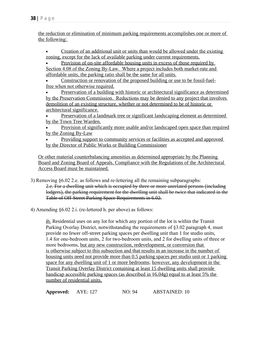the reduction or elimination of minimum parking requirements accomplishes one or more of the following:

 Creation of an additional unit or units than would be allowed under the existing zoning, except for the lack of available parking under current requirements.

Provision of on-site affordable housing units in excess of those required by

Section 4.08 of the Zoning By-Law. Where a project includes both market-rate and affordable units, the parking ratio shall be the same for all units.

 Construction or renovation of the proposed building or use to be fossil-fuelfree when not otherwise required.

 Preservation of a building with historic or architectural significance as determined by the Preservation Commission. Reductions may be denied to any project that involves demolition of an existing structure, whether or not determined to be of historic or architectural significance.

 Preservation of a landmark tree or significant landscaping element as determined by the Town Tree Warden.

 Provision of significantly more usable and/or landscaped open space than required by the Zoning By-Law

 Providing support to community services or facilities as accepted and approved by the Director of Public Works or Building Commissioner

Or other material counterbalancing amenities as determined appropriate by the Planning Board and Zoning Board of Appeals. Compliance with the Regulations of the Architectural Access Board must be maintained.

- 3) Removing §6.02 2.e. as follows and re-lettering all the remaining subparagraphs: 2.e. For a dwelling unit which is occupied by three or more unrelated persons (including lodgers), the parking requirement for the dwelling unit shall be twice that indicated in the Table of Off-Street Parking Space Requirements in 6.02.
- 4) Amending §6.02 2.i. (re-lettered h. per above) as follows:

ih. Residential uses on any lot for which any portion of the lot is within the Transit Parking Overlay District, notwithstanding the requirements of §3.02 paragraph 4, must provide no fewer off-street parking spaces per dwelling unit than 1 for studio units, 1.4 for one-bedroom units, 2 for two-bedroom units, and 2 for dwelling units of three or more bedrooms, but any new construction, redevelopment, or conversion that is otherwise subject to this subsection and that results in an increase in the number of housing units need not provide more than 0.5 parking spaces per studio unit or 1 parking space for any dwelling unit of 1 or more bedrooms; however, any development in the Transit Parking Overlay District containing at least 15 dwelling units shall provide handicap accessible parking spaces (as described in §6.04g) equal to at least 5% the number of residential units.

**Approved:** AYE: 127 NO: 94 ABSTAINED: 10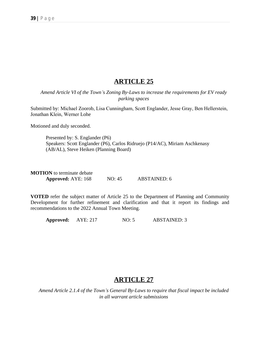## **ARTICLE 25**

*Amend Article VI of the Town's Zoning By-Laws to increase the requirements for EV ready parking spaces*

Submitted by: Michael Zoorob, Lisa Cunningham, Scott Englander, Jesse Gray, Ben Hellerstein, Jonathan Klein, Werner Lohe

Motioned and duly seconded.

Presented by: S. Englander (P6) Speakers: Scott Englander (P6), Carlos Ridruejo (P14/AC), Miriam Aschkenasy (AB/AL), Steve Heiken (Planning Board)

| <b>MOTION</b> to terminate debate |        |                     |
|-----------------------------------|--------|---------------------|
| <b>Approved:</b> AYE: 168         | NO: 45 | <b>ABSTAINED: 6</b> |

**VOTED** refer the subject matter of Article 25 to the Department of Planning and Community Development for further refinement and clarification and that it report its findings and recommendations to the 2022 Annual Town Meeting.

Approved: AYE: 217 NO: 5 ABSTAINED: 3

## **ARTICLE 27**

*Amend Article 2.1.4 of the Town's General By-Laws to require that fiscal impact be included in all warrant article submissions*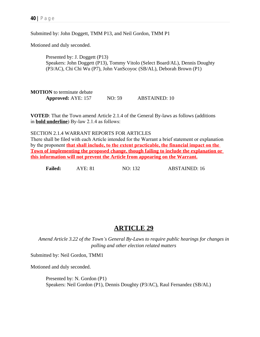Submitted by: John Doggett, TMM P13, and Neil Gordon, TMM P1

Motioned and duly seconded.

Presented by: J. Doggett (P13) Speakers: John Doggett (P13), Tommy Vitolo (Select Board/AL), Dennis Doughty (P3/AC), Chi Chi Wu (P7), John VanScoyoc (SB/AL), Deborah Brown (P1)

**MOTION** to terminate debate **Approved:** AYE: 157 NO: 59 ABSTAINED: 10

**VOTED**: That the Town amend Article 2.1.4 of the General By-laws as follows (additions in **bold underline**) By-law 2.1.4 as follows:

SECTION 2.1.4 WARRANT REPORTS FOR ARTICLES

There shall be filed with each Article intended for the Warrant a brief statement or explanation by the proponent **that shall include, to the extent practicable, the financial impact on the Town of implementing the proposed change, though failing to include the explanation or this information will not prevent the Article from appearing on the Warrant.**

**Failed:** AYE: 81 NO: 132 ABSTAINED: 16

## **ARTICLE 29**

*Amend Article 3.22 of the Town's General By-Laws to require public hearings for changes in polling and other election related matters*

Submitted by: Neil Gordon, TMM1

Motioned and duly seconded.

Presented by: N. Gordon (P1) Speakers: Neil Gordon (P1), Dennis Doughty (P3/AC), Raul Fernandez (SB/AL)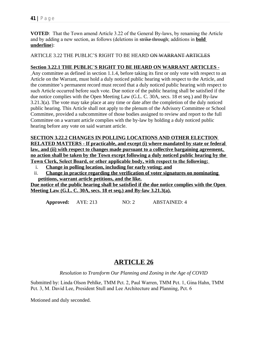**VOTED**: That the Town amend Article 3.22 of the General By-laws, by renaming the Article and by adding a new section, as follows (deletions in strike through; additions in **bold underline**):

ARTICLE 3.22 THE PUBLIC'S RIGHT TO BE HEARD ON WARRANT ARTICLES

#### **Section 3.22.1 THE PUBLIC**'**S RIGHT TO BE HEARD ON WARRANT ARTICLES -**

Any committee as defined in section 1.1.4, before taking its first or only vote with respect to an Article on the Warrant, must hold a duly noticed public hearing with respect to the Article, and the committee's permanent record must record that a duly noticed public hearing with respect to such Article occurred before such vote. Due notice of the public hearing shall be satisfied if the due notice complies with the Open Meeting Law (G.L. C. 30A, secs. 18 et seq.) and By-law 3.21.3(a). The vote may take place at any time or date after the completion of the duly noticed public hearing. This Article shall not apply to the plenum of the Advisory Committee or School Committee, provided a subcommittee of those bodies assigned to review and report to the full Committee on a warrant article complies with the by-law by holding a duly noticed public hearing before any vote on said warrant article.

### **SECTION 3.22.2 CHANGES IN POLLING LOCATIONS AND OTHER ELECTION RELATED MATTERS - If practicable, and except (i) where mandated by state or federal law, and (ii) with respect to changes made pursuant to a collective bargaining agreement,**

**no action shall be taken by the Town except following a duly noticed public hearing by the Town Clerk, Select Board, or other applicable body, with respect to the following:** 

- i. **Change in polling location, including for early voting; and**
- ii. **Change in practice regarding the verification of voter signatures on nominating petitions, warrant article petitions, and the like.**

**Due notice of the public hearing shall be satisfied if the due notice complies with the Open Meeting Law (G.L. C. 30A, secs. 18 et seq.) and By-law 3.21.3(a).**

**Approved:** AYE: 213 NO: 2 ABSTAINED: 4

# **ARTICLE 26**

*Resolution to Transform Our Planning and Zoning in the Age of COVID*

Submitted by: Linda Olson Pehlke, TMM Pct. 2, Paul Warren, TMM Pct. 1, Gina Hahn, TMM Pct. 3, M. David Lee, President Stull and Lee Architecture and Planning, Pct. 6

Motioned and duly seconded.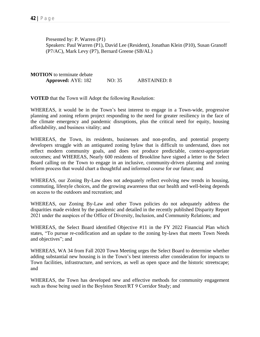Presented by: P. Warren (P1) Speakers: Paul Warren (P1), David Lee (Resident), Jonathan Klein (P10), Susan Granoff (P7/AC), Mark Levy (P7), Bernard Greene (SB/AL)

**MOTION** to terminate debate **Approved:** AYE: 182 NO: 35 ABSTAINED: 8

**VOTED** that the Town will Adopt the following Resolution:

WHEREAS, it would be in the Town's best interest to engage in a Town-wide, progressive planning and zoning reform project responding to the need for greater resiliency in the face of the climate emergency and pandemic disruptions, plus the critical need for equity, housing affordability, and business vitality; and

WHEREAS, the Town, its residents, businesses and non-profits, and potential property developers struggle with an antiquated zoning bylaw that is difficult to understand, does not reflect modern community goals, and does not produce predictable, context-appropriate outcomes; and WHEREAS, Nearly 600 residents of Brookline have signed a letter to the Select Board calling on the Town to engage in an inclusive, community-driven planning and zoning reform process that would chart a thoughtful and informed course for our future; and

WHEREAS, our Zoning By-Law does not adequately reflect evolving new trends in housing, commuting, lifestyle choices, and the growing awareness that our health and well-being depends on access to the outdoors and recreation; and

WHEREAS, our Zoning By-Law and other Town policies do not adequately address the disparities made evident by the pandemic and detailed in the recently published Disparity Report 2021 under the auspices of the Office of Diversity, Inclusion, and Community Relations; and

WHEREAS, the Select Board identified Objective #11 in the FY 2022 Financial Plan which states, "To pursue re-codification and an update to the zoning by-laws that meets Town Needs and objectives"; and

WHEREAS, WA 34 from Fall 2020 Town Meeting urges the Select Board to determine whether adding substantial new housing is in the Town's best interests after consideration for impacts to Town facilities, infrastructure, and services, as well as open space and the historic streetscape; and

WHEREAS, the Town has developed new and effective methods for community engagement such as those being used in the Boylston Street/RT 9 Corridor Study; and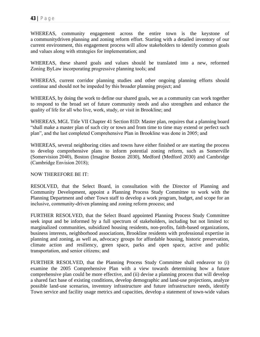WHEREAS, community engagement across the entire town is the keystone of a communitydriven planning and zoning reform effort. Starting with a detailed inventory of our current environment, this engagement process will allow stakeholders to identify common goals and values along with strategies for implementation; and

WHEREAS, these shared goals and values should be translated into a new, reformed Zoning ByLaw incorporating progressive planning tools; and

WHEREAS, current corridor planning studies and other ongoing planning efforts should continue and should not be impeded by this broader planning project; and

WHEREAS, by doing the work to define our shared goals, we as a community can work together to respond to the broad set of future community needs and also strengthen and enhance the quality of life for all who live, work, study, or visit in Brookline; and

WHEREAS, MGL Title VII Chapter 41 Section 81D: Master plan, requires that a planning board "shall make a master plan of such city or town and from time to time may extend or perfect such plan", and the last completed Comprehensive Plan in Brookline was done in 2005; and

WHEREAS, several neighboring cities and towns have either finished or are starting the process to develop comprehensive plans to inform potential zoning reform, such as Somerville (Somervision 2040), Boston (Imagine Boston 2030), Medford (Medford 2030) and Cambridge (Cambridge Envision 2018);

#### NOW THEREFORE BE IT:

RESOLVED, that the Select Board, in consultation with the Director of Planning and Community Development, appoint a Planning Process Study Committee to work with the Planning Department and other Town staff to develop a work program, budget, and scope for an inclusive, community-driven planning and zoning reform process; and

FURTHER RESOLVED, that the Select Board appointed Planning Process Study Committee seek input and be informed by a full spectrum of stakeholders, including but not limited to: marginalized communities, subsidized housing residents, non-profits, faith-based organizations, business interests, neighborhood associations, Brookline residents with professional expertise in planning and zoning, as well as, advocacy groups for affordable housing, historic preservation, climate action and resiliency, green space, parks and open space, active and public transportation, and senior citizens; and

FURTHER RESOLVED, that the Planning Process Study Committee shall endeavor to (i) examine the 2005 Comprehensive Plan with a view towards determining how a future comprehensive plan could be more effective, and (ii) devise a planning process that will develop a shared fact base of existing conditions, develop demographic and land-use projections, analyze possible land-use scenarios, inventory infrastructure and future infrastructure needs, identify Town service and facility usage metrics and capacities, develop a statement of town-wide values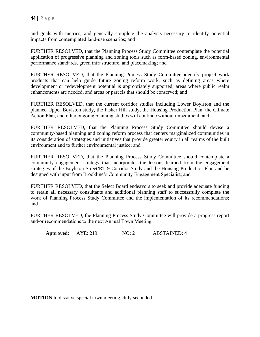and goals with metrics, and generally complete the analysis necessary to identify potential impacts from contemplated land-use scenarios; and

FURTHER RESOLVED, that the Planning Process Study Committee contemplate the potential application of progressive planning and zoning tools such as form-based zoning, environmental performance standards, green infrastructure, and placemaking; and

FURTHER RESOLVED, that the Planning Process Study Committee identify project work products that can help guide future zoning reform work, such as defining areas where development or redevelopment potential is appropriately supported, areas where public realm enhancements are needed, and areas or parcels that should be conserved; and

FURTHER RESOLVED, that the current corridor studies including Lower Boylston and the planned Upper Boylston study, the Fisher Hill study, the Housing Production Plan, the Climate Action Plan, and other ongoing planning studies will continue without impediment; and

FURTHER RESOLVED, that the Planning Process Study Committee should devise a community-based planning and zoning reform process that centers marginalized communities in its consideration of strategies and initiatives that provide greater equity in all realms of the built environment and to further environmental justice; and

FURTHER RESOLVED, that the Planning Process Study Committee should contemplate a community engagement strategy that incorporates the lessons learned from the engagement strategies of the Boylston Street/RT 9 Corridor Study and the Housing Production Plan and be designed with input from Brookline's Community Engagement Specialist; and

FURTHER RESOLVED, that the Select Board endeavors to seek and provide adequate funding to retain all necessary consultants and additional planning staff to successfully complete the work of Planning Process Study Committee and the implementation of its recommendations; and

FURTHER RESOLVED, the Planning Process Study Committee will provide a progress report and/or recommendations to the next Annual Town Meeting.

**Approved:** AYE: 219 NO: 2 ABSTAINED: 4

**MOTION** to dissolve special town meeting, duly seconded